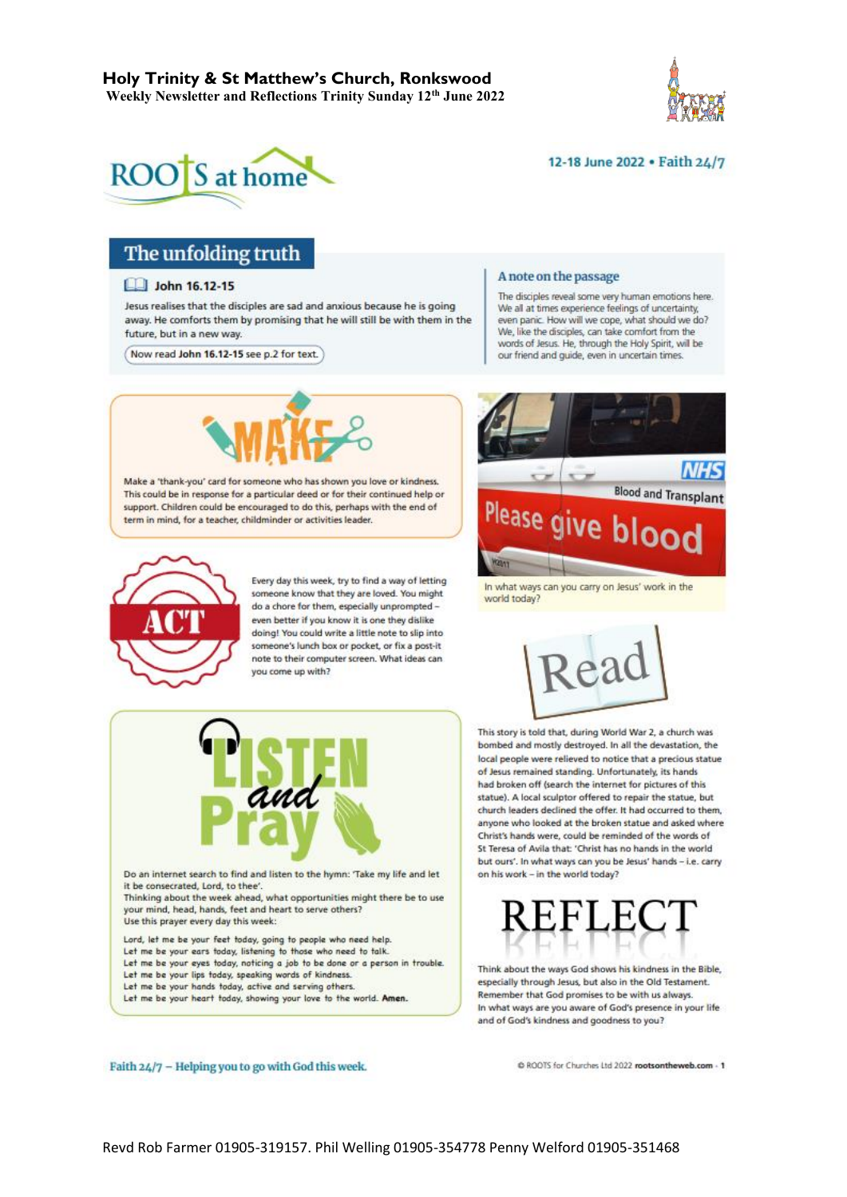



#### 12-18 June 2022 . Faith 24/7

# The unfolding truth

#### **Let John 16.12-15**

Jesus realises that the disciples are sad and anxious because he is going away. He comforts them by promising that he will still be with them in the future, but in a new way.

Now read John 16.12-15 see p.2 for text.



Make a 'thank-you' card for someone who has shown you love or kindness. This could be in response for a particular deed or for their continued help or support. Children could be encouraged to do this, perhaps with the end of term in mind, for a teacher, childminder or activities leader.



Every day this week, try to find a way of letting someone know that they are loved. You might do a chore for them, especially unprompted even better if you know it is one they dislike doing! You could write a little note to slip into someone's lunch box or pocket, or fix a post-it note to their computer screen. What ideas can you come up with?



Lord, let me be your feet today, going to people who need help. Let me be your ears today, listening to those who need to talk. Let me be your eyes today, noticing a job to be done or a person in trouble. Let me be your lips today, speaking words of kindness. Let me be your hands today, active and serving others. Let me be your heart today, showing your love to the world. Amen.

#### A note on the passage

The disciples reveal some very human emotions here.<br>We all at times experience feelings of uncertainty, even panic. How will we cope, what should we do? We, like the disciples, can take comfort from the words of Jesus. He, through the Holy Spirit, will be our friend and quide, even in uncertain times.



In what ways can you carry on Jesus' work in the world today?



This story is told that, during World War 2, a church was bombed and mostly destroyed. In all the devastation, the local people were relieved to notice that a precious statue of Jesus remained standing. Unfortunately, its hands had broken off (search the internet for pictures of this statue). A local sculptor offered to repair the statue, but church leaders declined the offer. It had occurred to them, anyone who looked at the broken statue and asked where Christ's hands were, could be reminded of the words of St Teresa of Avila that: 'Christ has no hands in the world but ours'. In what ways can you be Jesus' hands - i.e. carry on his work - in the world today?



Think about the ways God shows his kindness in the Bible, especially through Jesus, but also in the Old Testament. Remember that God promises to be with us always. In what ways are you aware of God's presence in your life and of God's kindness and goodness to you?

Faith 24/7 - Helping you to go with God this week.

C ROOTS for Churches Ltd 2022 rootsontheweb.com - 1